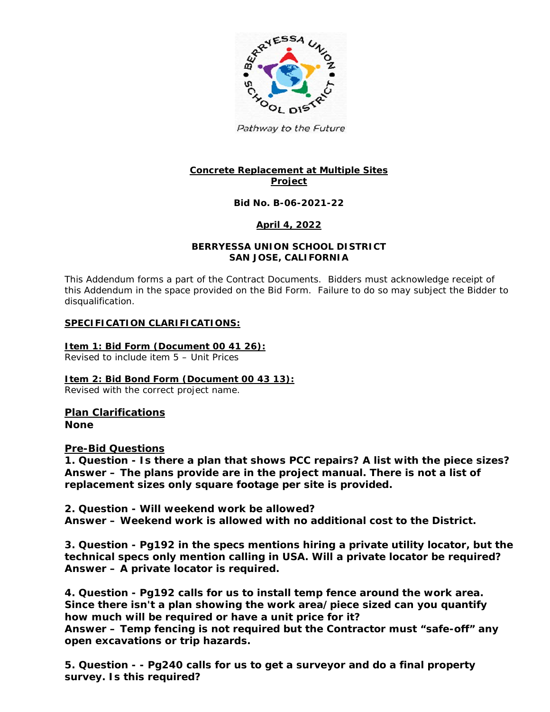

Pathway to the Future

# **Concrete Replacement at Multiple Sites Project**

#### **Bid No. B-06-2021-22**

#### **April 4, 2022**

#### **BERRYESSA UNION SCHOOL DISTRICT SAN JOSE, CALIFORNIA**

This Addendum forms a part of the Contract Documents. Bidders must acknowledge receipt of this Addendum in the space provided on the Bid Form. Failure to do so may subject the Bidder to disqualification.

#### **SPECIFICATION CLARIFICATIONS:**

#### **Item 1: Bid Form (Document 00 41 26):**

Revised to include item 5 – Unit Prices

#### **Item 2: Bid Bond Form (Document 00 43 13):**

Revised with the correct project name.

# **Plan Clarifications**

**None**

#### **Pre-Bid Questions**

**1. Question - Is there a plan that shows PCC repairs? A list with the piece sizes? Answer – The plans provide are in the project manual. There is not a list of replacement sizes only square footage per site is provided.** 

**2. Question - Will weekend work be allowed? Answer – Weekend work is allowed with no additional cost to the District.**

**3. Question - Pg192 in the specs mentions hiring a private utility locator, but the technical specs only mention calling in USA. Will a private locator be required? Answer – A private locator is required.**

**4. Question - Pg192 calls for us to install temp fence around the work area. Since there isn't a plan showing the work area/piece sized can you quantify how much will be required or have a unit price for it? Answer – Temp fencing is not required but the Contractor must "safe-off" any open excavations or trip hazards.**

**5. Question - - Pg240 calls for us to get a surveyor and do a final property survey. Is this required?**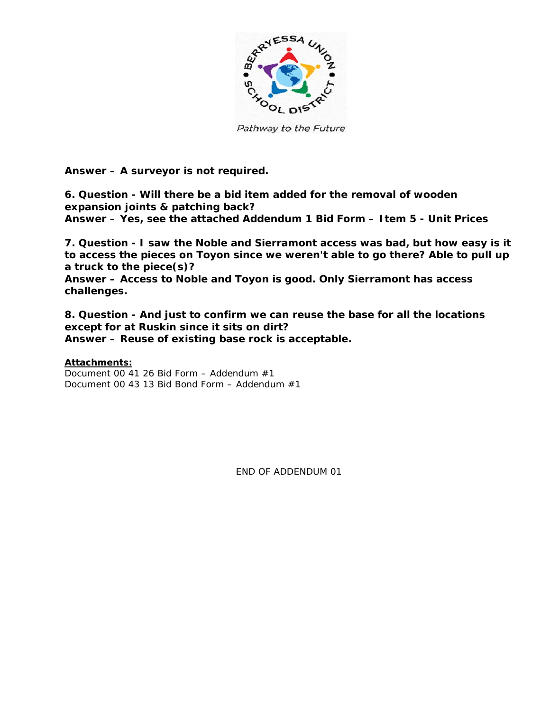

Pathway to the Future

**Answer – A surveyor is not required.**

**6. Question - Will there be a bid item added for the removal of wooden expansion joints & patching back? Answer – Yes, see the attached Addendum 1 Bid Form – Item 5 - Unit Prices**

**7. Question - I saw the Noble and Sierramont access was bad, but how easy is it to access the pieces on Toyon since we weren't able to go there? Able to pull up a truck to the piece(s)?**

**Answer – Access to Noble and Toyon is good. Only Sierramont has access challenges.**

**8. Question - And just to confirm we can reuse the base for all the locations except for at Ruskin since it sits on dirt? Answer – Reuse of existing base rock is acceptable.**

#### **Attachments:**

Document 00 41 26 Bid Form – Addendum #1 Document 00 43 13 Bid Bond Form – Addendum #1

END OF ADDENDUM 01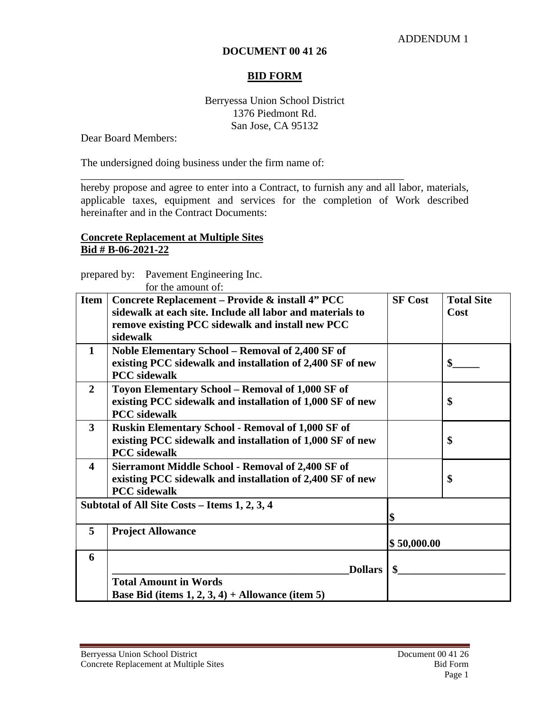### **DOCUMENT 00 41 26**

# **BID FORM**

# Berryessa Union School District 1376 Piedmont Rd. San Jose, CA 95132

Dear Board Members:

The undersigned doing business under the firm name of:

hereby propose and agree to enter into a Contract, to furnish any and all labor, materials, applicable taxes, equipment and services for the completion of Work described hereinafter and in the Contract Documents:

\_\_\_\_\_\_\_\_\_\_\_\_\_\_\_\_\_\_\_\_\_\_\_\_\_\_\_\_\_\_\_\_\_\_\_\_\_\_\_\_\_\_\_\_\_\_\_\_\_\_\_\_\_\_\_\_\_\_\_\_

# **Concrete Replacement at Multiple Sites Bid # B-06-2021-22**

prepared by: Pavement Engineering Inc. for the amount of:

|                                               | for the amount of:                                        |                |                   |  |
|-----------------------------------------------|-----------------------------------------------------------|----------------|-------------------|--|
| <b>Item</b>                                   | Concrete Replacement – Provide & install 4" PCC           | <b>SF Cost</b> | <b>Total Site</b> |  |
|                                               | sidewalk at each site. Include all labor and materials to |                | Cost              |  |
|                                               | remove existing PCC sidewalk and install new PCC          |                |                   |  |
|                                               | sidewalk                                                  |                |                   |  |
| $\mathbf 1$                                   | Noble Elementary School - Removal of 2,400 SF of          |                |                   |  |
|                                               | existing PCC sidewalk and installation of 2,400 SF of new |                | \$                |  |
|                                               | <b>PCC</b> sidewalk                                       |                |                   |  |
| $\overline{2}$                                | Toyon Elementary School - Removal of 1,000 SF of          |                |                   |  |
|                                               | existing PCC sidewalk and installation of 1,000 SF of new |                | \$                |  |
|                                               | <b>PCC</b> sidewalk                                       |                |                   |  |
| 3                                             | <b>Ruskin Elementary School - Removal of 1,000 SF of</b>  |                |                   |  |
|                                               | existing PCC sidewalk and installation of 1,000 SF of new |                | \$                |  |
|                                               | <b>PCC</b> sidewalk                                       |                |                   |  |
| 4                                             | Sierramont Middle School - Removal of 2,400 SF of         |                |                   |  |
|                                               | existing PCC sidewalk and installation of 2,400 SF of new |                | \$                |  |
|                                               | <b>PCC</b> sidewalk                                       |                |                   |  |
| Subtotal of All Site Costs - Items 1, 2, 3, 4 |                                                           |                |                   |  |
|                                               |                                                           | \$             |                   |  |
| 5                                             | <b>Project Allowance</b>                                  |                |                   |  |
|                                               |                                                           | \$50,000.00    |                   |  |
| 6                                             |                                                           |                |                   |  |
|                                               | <b>Dollars</b>                                            |                |                   |  |
|                                               | <b>Total Amount in Words</b>                              |                |                   |  |
|                                               | Base Bid (items $1, 2, 3, 4$ ) + Allowance (item 5)       |                |                   |  |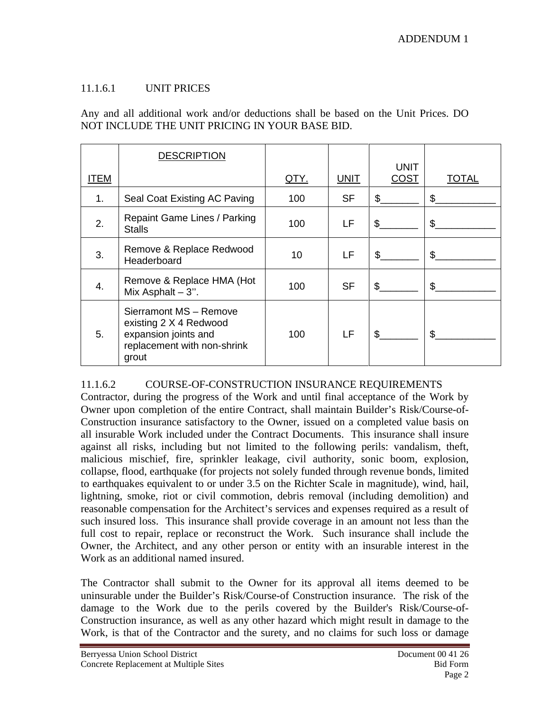# 11.1.6.1 UNIT PRICES

Any and all additional work and/or deductions shall be based on the Unit Prices. DO NOT INCLUDE THE UNIT PRICING IN YOUR BASE BID.

|      | <b>DESCRIPTION</b>                                                                                               |             |             | <b>UNIT</b> |       |
|------|------------------------------------------------------------------------------------------------------------------|-------------|-------------|-------------|-------|
| ITEM |                                                                                                                  | <u>QTY.</u> | <b>UNIT</b> | <b>COST</b> | TOTAL |
| 1.   | Seal Coat Existing AC Paving                                                                                     | 100         | <b>SF</b>   | \$          | \$    |
| 2.   | Repaint Game Lines / Parking<br><b>Stalls</b>                                                                    | 100         | LF          | \$          | \$    |
| 3.   | Remove & Replace Redwood<br>Headerboard                                                                          | 10          | LF.         | \$          | \$    |
| 4.   | Remove & Replace HMA (Hot<br>Mix Asphalt $-3$ ".                                                                 | 100         | <b>SF</b>   | \$          | \$    |
| 5.   | Sierramont MS - Remove<br>existing 2 X 4 Redwood<br>expansion joints and<br>replacement with non-shrink<br>grout | 100         | LF          | \$          | \$    |

# 11.1.6.2 COURSE-OF-CONSTRUCTION INSURANCE REQUIREMENTS

Contractor, during the progress of the Work and until final acceptance of the Work by Owner upon completion of the entire Contract, shall maintain Builder's Risk/Course-of-Construction insurance satisfactory to the Owner, issued on a completed value basis on all insurable Work included under the Contract Documents. This insurance shall insure against all risks, including but not limited to the following perils: vandalism, theft, malicious mischief, fire, sprinkler leakage, civil authority, sonic boom, explosion, collapse, flood, earthquake (for projects not solely funded through revenue bonds, limited to earthquakes equivalent to or under 3.5 on the Richter Scale in magnitude), wind, hail, lightning, smoke, riot or civil commotion, debris removal (including demolition) and reasonable compensation for the Architect's services and expenses required as a result of such insured loss. This insurance shall provide coverage in an amount not less than the full cost to repair, replace or reconstruct the Work. Such insurance shall include the Owner, the Architect, and any other person or entity with an insurable interest in the Work as an additional named insured.

The Contractor shall submit to the Owner for its approval all items deemed to be uninsurable under the Builder's Risk/Course-of Construction insurance. The risk of the damage to the Work due to the perils covered by the Builder's Risk/Course-of-Construction insurance, as well as any other hazard which might result in damage to the Work, is that of the Contractor and the surety, and no claims for such loss or damage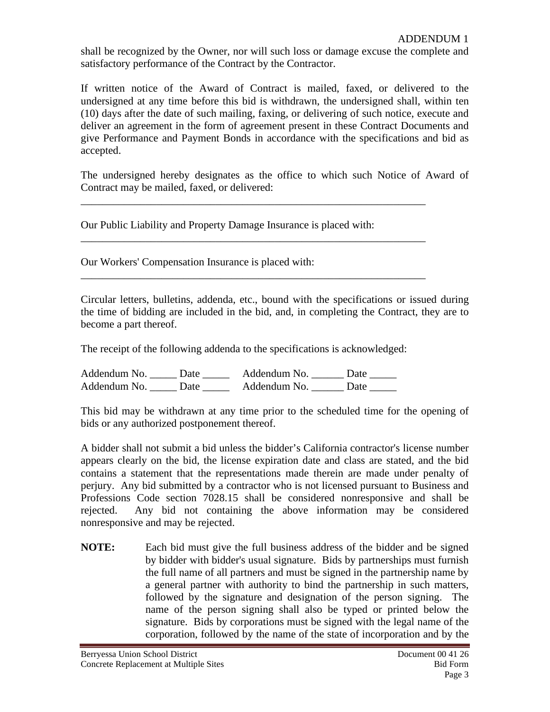shall be recognized by the Owner, nor will such loss or damage excuse the complete and satisfactory performance of the Contract by the Contractor.

If written notice of the Award of Contract is mailed, faxed, or delivered to the undersigned at any time before this bid is withdrawn, the undersigned shall, within ten (10) days after the date of such mailing, faxing, or delivering of such notice, execute and deliver an agreement in the form of agreement present in these Contract Documents and give Performance and Payment Bonds in accordance with the specifications and bid as accepted.

The undersigned hereby designates as the office to which such Notice of Award of Contract may be mailed, faxed, or delivered:

\_\_\_\_\_\_\_\_\_\_\_\_\_\_\_\_\_\_\_\_\_\_\_\_\_\_\_\_\_\_\_\_\_\_\_\_\_\_\_\_\_\_\_\_\_\_\_\_\_\_\_\_\_\_\_\_\_\_\_\_\_\_\_\_

\_\_\_\_\_\_\_\_\_\_\_\_\_\_\_\_\_\_\_\_\_\_\_\_\_\_\_\_\_\_\_\_\_\_\_\_\_\_\_\_\_\_\_\_\_\_\_\_\_\_\_\_\_\_\_\_\_\_\_\_\_\_\_\_

\_\_\_\_\_\_\_\_\_\_\_\_\_\_\_\_\_\_\_\_\_\_\_\_\_\_\_\_\_\_\_\_\_\_\_\_\_\_\_\_\_\_\_\_\_\_\_\_\_\_\_\_\_\_\_\_\_\_\_\_\_\_\_\_

Our Public Liability and Property Damage Insurance is placed with:

Our Workers' Compensation Insurance is placed with:

Circular letters, bulletins, addenda, etc., bound with the specifications or issued during the time of bidding are included in the bid, and, in completing the Contract, they are to become a part thereof.

The receipt of the following addenda to the specifications is acknowledged:

Addendum No. \_\_\_\_\_ Date \_\_\_\_\_\_ Addendum No. \_\_\_\_\_ Date \_\_\_\_\_ Addendum No. Date Addendum No. Date

This bid may be withdrawn at any time prior to the scheduled time for the opening of bids or any authorized postponement thereof.

A bidder shall not submit a bid unless the bidder's California contractor's license number appears clearly on the bid, the license expiration date and class are stated, and the bid contains a statement that the representations made therein are made under penalty of perjury. Any bid submitted by a contractor who is not licensed pursuant to Business and Professions Code section 7028.15 shall be considered nonresponsive and shall be rejected. Any bid not containing the above information may be considered nonresponsive and may be rejected.

**NOTE:** Each bid must give the full business address of the bidder and be signed by bidder with bidder's usual signature. Bids by partnerships must furnish the full name of all partners and must be signed in the partnership name by a general partner with authority to bind the partnership in such matters, followed by the signature and designation of the person signing. The name of the person signing shall also be typed or printed below the signature. Bids by corporations must be signed with the legal name of the corporation, followed by the name of the state of incorporation and by the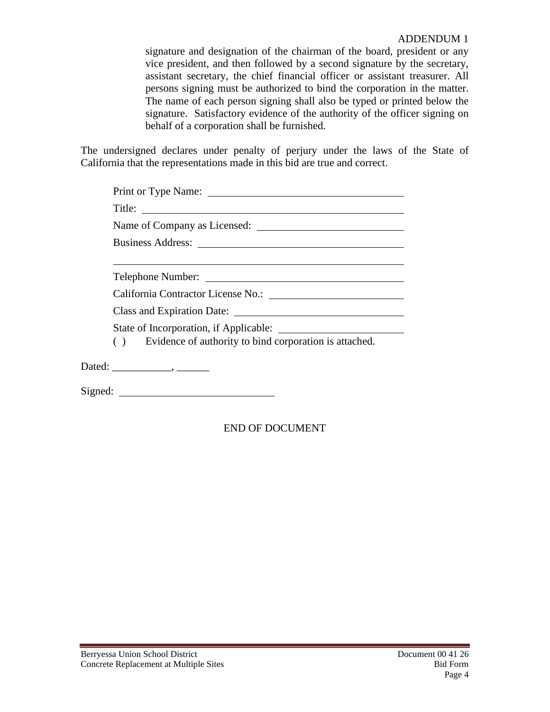signature and designation of the chairman of the board, president or any vice president, and then followed by a second signature by the secretary, assistant secretary, the chief financial officer or assistant treasurer. All persons signing must be authorized to bind the corporation in the matter. The name of each person signing shall also be typed or printed below the signature. Satisfactory evidence of the authority of the officer signing on behalf of a corporation shall be furnished.

The undersigned declares under penalty of perjury under the laws of the State of California that the representations made in this bid are true and correct.

| Business Address: New York 1988                           |  |  |  |  |
|-----------------------------------------------------------|--|--|--|--|
|                                                           |  |  |  |  |
|                                                           |  |  |  |  |
|                                                           |  |  |  |  |
| Class and Expiration Date:                                |  |  |  |  |
|                                                           |  |  |  |  |
| () Evidence of authority to bind corporation is attached. |  |  |  |  |
|                                                           |  |  |  |  |
|                                                           |  |  |  |  |

END OF DOCUMENT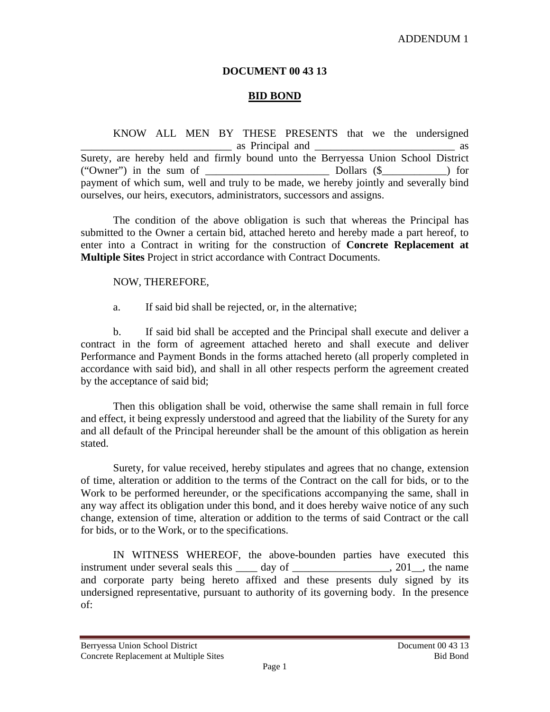## ADDENDUM 1

# **DOCUMENT 00 43 13**

# **BID BOND**

KNOW ALL MEN BY THESE PRESENTS that we the undersigned \_\_\_\_\_\_\_\_\_\_\_\_\_\_\_\_\_\_\_\_\_\_\_\_\_\_\_\_ as Principal and \_\_\_\_\_\_\_\_\_\_\_\_\_\_\_\_\_\_\_\_\_\_\_\_\_\_ as Surety, are hereby held and firmly bound unto the Berryessa Union School District ("Owner") in the sum of \_\_\_\_\_\_\_\_\_\_\_\_\_\_\_\_\_\_\_\_\_\_\_ Dollars (\$\_\_\_\_\_\_\_\_\_\_\_\_) for payment of which sum, well and truly to be made, we hereby jointly and severally bind ourselves, our heirs, executors, administrators, successors and assigns.

The condition of the above obligation is such that whereas the Principal has submitted to the Owner a certain bid, attached hereto and hereby made a part hereof, to enter into a Contract in writing for the construction of **Concrete Replacement at Multiple Sites** Project in strict accordance with Contract Documents.

### NOW, THEREFORE,

a. If said bid shall be rejected, or, in the alternative;

b. If said bid shall be accepted and the Principal shall execute and deliver a contract in the form of agreement attached hereto and shall execute and deliver Performance and Payment Bonds in the forms attached hereto (all properly completed in accordance with said bid), and shall in all other respects perform the agreement created by the acceptance of said bid;

Then this obligation shall be void, otherwise the same shall remain in full force and effect, it being expressly understood and agreed that the liability of the Surety for any and all default of the Principal hereunder shall be the amount of this obligation as herein stated.

Surety, for value received, hereby stipulates and agrees that no change, extension of time, alteration or addition to the terms of the Contract on the call for bids, or to the Work to be performed hereunder, or the specifications accompanying the same, shall in any way affect its obligation under this bond, and it does hereby waive notice of any such change, extension of time, alteration or addition to the terms of said Contract or the call for bids, or to the Work, or to the specifications.

IN WITNESS WHEREOF, the above-bounden parties have executed this instrument under several seals this \_\_\_\_ day of \_\_\_\_\_\_\_\_\_\_\_\_\_\_\_\_, 201\_, the name and corporate party being hereto affixed and these presents duly signed by its undersigned representative, pursuant to authority of its governing body. In the presence of: